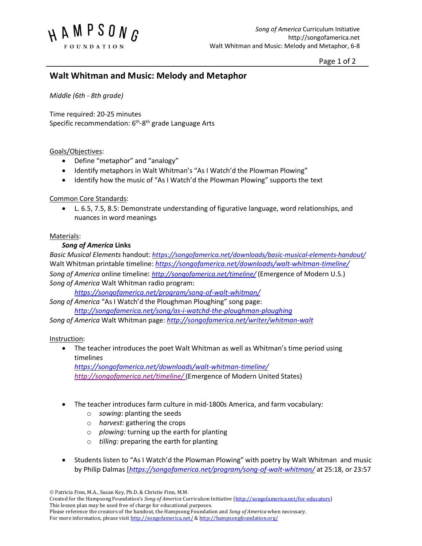

Page 1 of 2

# **Walt Whitman and Music: Melody and Metaphor**

*Middle (6th - 8th grade)* 

Time required: 20-25 minutes Specific recommendation: 6<sup>th</sup>-8<sup>th</sup> grade Language Arts

### Goals/Objectives:

- Define "metaphor" and "analogy"
- Identify metaphors in Walt Whitman's "As I Watch'd the Plowman Plowing"
- Identify how the music of "As I Watch'd the Plowman Plowing" supports the text

## Common Core Standards:

• L. 6.5, 7.5, 8.5: Demonstrate understanding of figurative language, word relationships, and nuances in word meanings

### Materials:

## *Song of America* **Links**

*Basic Musical Elements* handout: *https://songofamerica.net/downloads/basic-musical-elements-handout/* Walt Whitman printable timeline: *https://songofamerica.net/downloads/walt-whitman-timeline/ Song of America* online timeline: *http://songofamerica.net/timeline/* (Emergence of Modern U.S.) *Song of America* Walt Whitman radio program:

*https://songofamerica.net/program/song-of-walt-whitman/*

*Song of America* "As I Watch'd the Ploughman Ploughing" song page:

*http://songofamerica.net/song/as-i-watchd-the-ploughman-ploughing*

*Song of America* Walt Whitman page: *http://songofamerica.net/writer/whitman-walt*

#### Instruction:

• The teacher introduces the poet Walt Whitman as well as Whitman's time period using timelines

*https://songofamerica.net/downloads/walt-whitman-timeline/ http://songofamerica.net/timeline/* (Emergence of Modern United States)

- The teacher introduces farm culture in mid-1800s America, and farm vocabulary:
	- o *sowing*: planting the seeds
	- o *harvest*: gathering the crops
	- o *plowing:* turning up the earth for planting

For more information, please visit http://songofamerica.net/ & http://hampsongfoundation.org/

- o *tilling*: preparing the earth for planting
- Students listen to "As I Watch'd the Plowman Plowing" with poetry by Walt Whitman and music by Philip Dalmas [*https://songofamerica.net/program/song-of-walt-whitman/* at 25:18, or 23:57

 $©$  Patricia Finn, M.A., Susan Key, Ph.D. & Christie Finn, M.M.

Created for the Hampsong Foundation's *Song of America* Curriculum Initiative (http://songofamerica.net/for-educators) This lesson plan may be used free of charge for educational purposes. Please reference the creators of the handout, the Hampsong Foundation and *Song of America* when necessary.